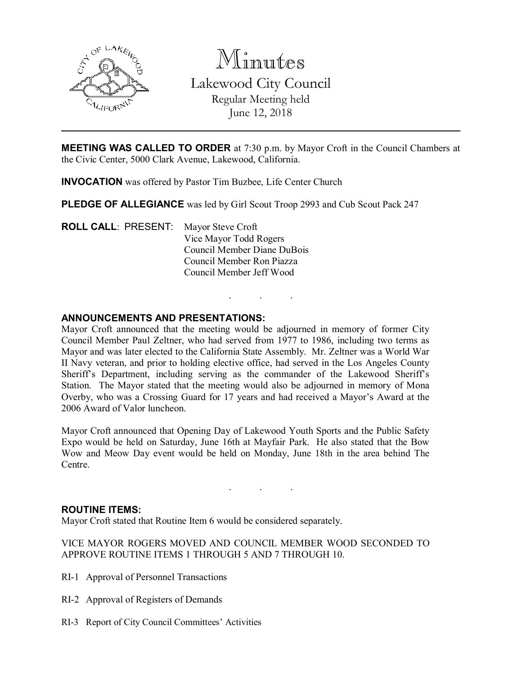

Minutes Lakewood City Council Regular Meeting held June 12, 2018

MEETING WAS CALLED TO ORDER at 7:30 p.m. by Mayor Croft in the Council Chambers at the Civic Center, 5000 Clark Avenue, Lakewood, California.

INVOCATION was offered by Pastor Tim Buzbee, Life Center Church

PLEDGE OF ALLEGIANCE was led by Girl Scout Troop 2993 and Cub Scout Pack 247

ROLL CALL: PRESENT: Mayor Steve Croft Vice Mayor Todd Rogers Council Member Diane DuBois Council Member Ron Piazza Council Member Jeff Wood

## ANNOUNCEMENTS AND PRESENTATIONS:

Mayor Croft announced that the meeting would be adjourned in memory of former City Council Member Paul Zeltner, who had served from 1977 to 1986, including two terms as Mayor and was later elected to the California State Assembly. Mr. Zeltner was a World War II Navy veteran, and prior to holding elective office, had served in the Los Angeles County Sheriff's Department, including serving as the commander of the Lakewood Sheriff's Station. The Mayor stated that the meeting would also be adjourned in memory of Mona Overby, who was a Crossing Guard for 17 years and had received a Mayor's Award at the 2006 Award of Valor luncheon.

. . .

Mayor Croft announced that Opening Day of Lakewood Youth Sports and the Public Safety Expo would be held on Saturday, June 16th at Mayfair Park. He also stated that the Bow Wow and Meow Day event would be held on Monday, June 18th in the area behind The Centre.

. . .

## ROUTINE ITEMS:

Mayor Croft stated that Routine Item 6 would be considered separately.

VICE MAYOR ROGERS MOVED AND COUNCIL MEMBER WOOD SECONDED TO APPROVE ROUTINE ITEMS 1 THROUGH 5 AND 7 THROUGH 10.

- RI-1 Approval of Personnel Transactions
- RI-2 Approval of Registers of Demands
- RI-3 Report of City Council Committees' Activities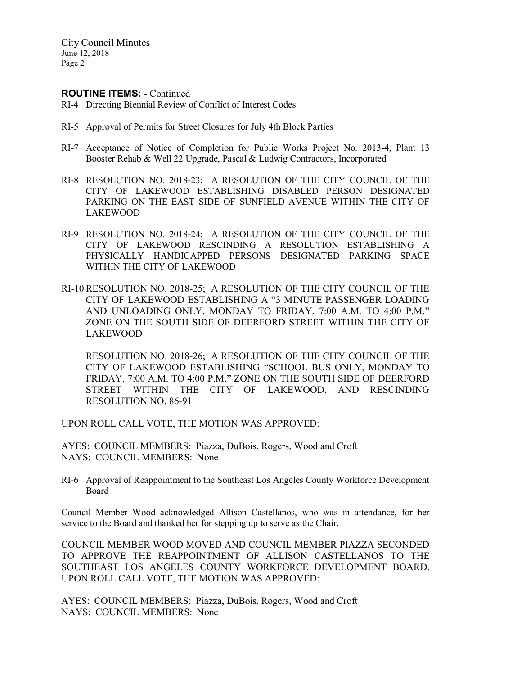### ROUTINE ITEMS: - Continued

- RI-4 Directing Biennial Review of Conflict of Interest Codes
- RI-5 Approval of Permits for Street Closures for July 4th Block Parties
- RI-7 Acceptance of Notice of Completion for Public Works Project No. 2013-4, Plant 13 Booster Rehab & Well 22 Upgrade, Pascal & Ludwig Contractors, Incorporated
- RI-8 RESOLUTION NO. 2018-23; A RESOLUTION OF THE CITY COUNCIL OF THE CITY OF LAKEWOOD ESTABLISHING DISABLED PERSON DESIGNATED PARKING ON THE EAST SIDE OF SUNFIELD AVENUE WITHIN THE CITY OF LAKEWOOD
- RI-9 RESOLUTION NO. 2018-24; A RESOLUTION OF THE CITY COUNCIL OF THE CITY OF LAKEWOOD RESCINDING A RESOLUTION ESTABLISHING A PHYSICALLY HANDICAPPED PERSONS DESIGNATED PARKING SPACE WITHIN THE CITY OF LAKEWOOD
- RI-10 RESOLUTION NO. 2018-25; A RESOLUTION OF THE CITY COUNCIL OF THE CITY OF LAKEWOOD ESTABLISHING A "3 MINUTE PASSENGER LOADING AND UNLOADING ONLY, MONDAY TO FRIDAY, 7:00 A.M. TO 4:00 P.M." ZONE ON THE SOUTH SIDE OF DEERFORD STREET WITHIN THE CITY OF LAKEWOOD

RESOLUTION NO. 2018-26; A RESOLUTION OF THE CITY COUNCIL OF THE CITY OF LAKEWOOD ESTABLISHING "SCHOOL BUS ONLY, MONDAY TO FRIDAY, 7:00 A.M. TO 4:00 P.M." ZONE ON THE SOUTH SIDE OF DEERFORD STREET WITHIN THE CITY OF LAKEWOOD, AND RESCINDING RESOLUTION NO. 86-91

UPON ROLL CALL VOTE, THE MOTION WAS APPROVED:

AYES: COUNCIL MEMBERS: Piazza, DuBois, Rogers, Wood and Croft NAYS: COUNCIL MEMBERS: None

RI-6 Approval of Reappointment to the Southeast Los Angeles County Workforce Development Board

Council Member Wood acknowledged Allison Castellanos, who was in attendance, for her service to the Board and thanked her for stepping up to serve as the Chair.

COUNCIL MEMBER WOOD MOVED AND COUNCIL MEMBER PIAZZA SECONDED TO APPROVE THE REAPPOINTMENT OF ALLISON CASTELLANOS TO THE SOUTHEAST LOS ANGELES COUNTY WORKFORCE DEVELOPMENT BOARD. UPON ROLL CALL VOTE, THE MOTION WAS APPROVED:

AYES: COUNCIL MEMBERS: Piazza, DuBois, Rogers, Wood and Croft NAYS: COUNCIL MEMBERS: None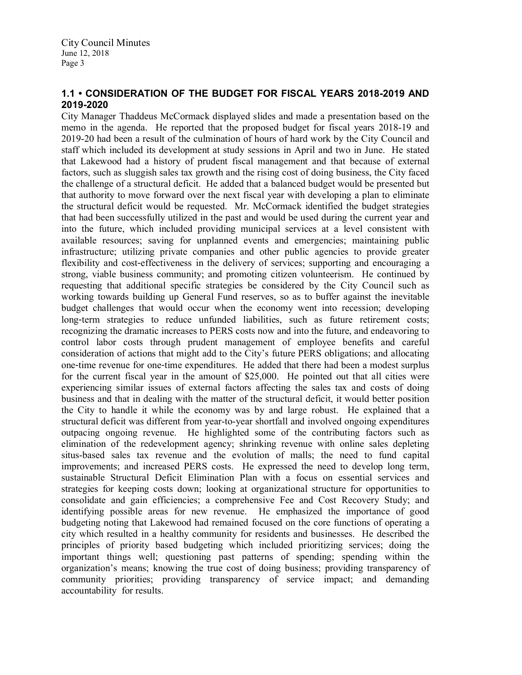# 1.1 • CONSIDERATION OF THE BUDGET FOR FISCAL YEARS 2018-2019 AND 2019-2020

City Manager Thaddeus McCormack displayed slides and made a presentation based on the memo in the agenda. He reported that the proposed budget for fiscal years 2018-19 and 2019-20 had been a result of the culmination of hours of hard work by the City Council and staff which included its development at study sessions in April and two in June. He stated that Lakewood had a history of prudent fiscal management and that because of external factors, such as sluggish sales tax growth and the rising cost of doing business, the City faced the challenge of a structural deficit. He added that a balanced budget would be presented but that authority to move forward over the next fiscal year with developing a plan to eliminate the structural deficit would be requested. Mr. McCormack identified the budget strategies that had been successfully utilized in the past and would be used during the current year and into the future, which included providing municipal services at a level consistent with available resources; saving for unplanned events and emergencies; maintaining public infrastructure; utilizing private companies and other public agencies to provide greater flexibility and cost effectiveness in the delivery of services; supporting and encouraging a strong, viable business community; and promoting citizen volunteerism. He continued by requesting that additional specific strategies be considered by the City Council such as working towards building up General Fund reserves, so as to buffer against the inevitable budget challenges that would occur when the economy went into recession; developing long term strategies to reduce unfunded liabilities, such as future retirement costs; recognizing the dramatic increases to PERS costs now and into the future, and endeavoring to control labor costs through prudent management of employee benefits and careful consideration of actions that might add to the City's future PERS obligations; and allocating one time revenue for one time expenditures. He added that there had been a modest surplus for the current fiscal year in the amount of \$25,000. He pointed out that all cities were experiencing similar issues of external factors affecting the sales tax and costs of doing business and that in dealing with the matter of the structural deficit, it would better position the City to handle it while the economy was by and large robust. He explained that a structural deficit was different from year-to-year shortfall and involved ongoing expenditures outpacing ongoing revenue. He highlighted some of the contributing factors such as elimination of the redevelopment agency; shrinking revenue with online sales depleting situs-based sales tax revenue and the evolution of malls; the need to fund capital improvements; and increased PERS costs. He expressed the need to develop long term, sustainable Structural Deficit Elimination Plan with a focus on essential services and strategies for keeping costs down; looking at organizational structure for opportunities to consolidate and gain efficiencies; a comprehensive Fee and Cost Recovery Study; and identifying possible areas for new revenue. He emphasized the importance of good budgeting noting that Lakewood had remained focused on the core functions of operating a city which resulted in a healthy community for residents and businesses. He described the principles of priority based budgeting which included prioritizing services; doing the important things well; questioning past patterns of spending; spending within the organization's means; knowing the true cost of doing business; providing transparency of community priorities; providing transparency of service impact; and demanding accountability for results.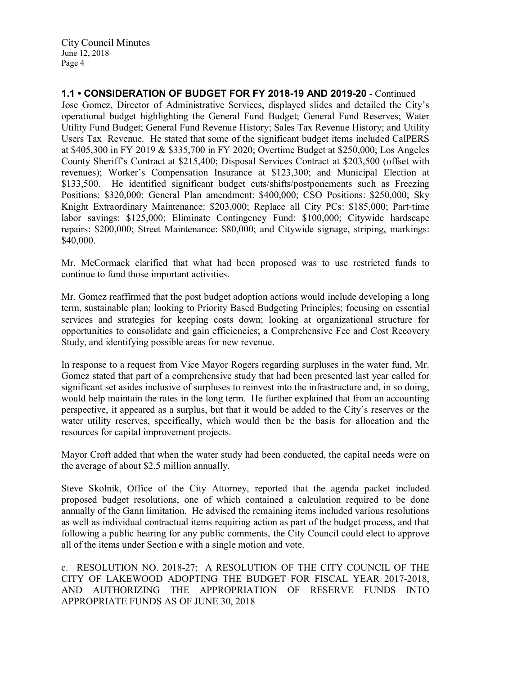1.1 • CONSIDERATION OF BUDGET FOR FY 2018-19 AND 2019-20 - Continued Jose Gomez, Director of Administrative Services, displayed slides and detailed the City's operational budget highlighting the General Fund Budget; General Fund Reserves; Water Utility Fund Budget; General Fund Revenue History; Sales Tax Revenue History; and Utility Users Tax Revenue. He stated that some of the significant budget items included CalPERS at \$405,300 in FY 2019 & \$335,700 in FY 2020; Overtime Budget at \$250,000; Los Angeles County Sheriff's Contract at \$215,400; Disposal Services Contract at \$203,500 (offset with revenues); Worker's Compensation Insurance at \$123,300; and Municipal Election at \$133,500. He identified significant budget cuts/shifts/postponements such as Freezing Positions: \$320,000; General Plan amendment: \$400,000; CSO Positions: \$250,000; Sky Knight Extraordinary Maintenance: \$203,000; Replace all City PCs: \$185,000; Part time labor savings: \$125,000; Eliminate Contingency Fund: \$100,000; Citywide hardscape repairs: \$200,000; Street Maintenance: \$80,000; and Citywide signage, striping, markings: \$40,000.

Mr. McCormack clarified that what had been proposed was to use restricted funds to continue to fund those important activities.

Mr. Gomez reaffirmed that the post budget adoption actions would include developing a long term, sustainable plan; looking to Priority Based Budgeting Principles; focusing on essential services and strategies for keeping costs down; looking at organizational structure for opportunities to consolidate and gain efficiencies; a Comprehensive Fee and Cost Recovery Study, and identifying possible areas for new revenue.

In response to a request from Vice Mayor Rogers regarding surpluses in the water fund, Mr. Gomez stated that part of a comprehensive study that had been presented last year called for significant set asides inclusive of surpluses to reinvest into the infrastructure and, in so doing, would help maintain the rates in the long term. He further explained that from an accounting perspective, it appeared as a surplus, but that it would be added to the City's reserves or the water utility reserves, specifically, which would then be the basis for allocation and the resources for capital improvement projects.

Mayor Croft added that when the water study had been conducted, the capital needs were on the average of about \$2.5 million annually.

Steve Skolnik, Office of the City Attorney, reported that the agenda packet included proposed budget resolutions, one of which contained a calculation required to be done annually of the Gann limitation. He advised the remaining items included various resolutions as well as individual contractual items requiring action as part of the budget process, and that following a public hearing for any public comments, the City Council could elect to approve all of the items under Section e with a single motion and vote.

c. RESOLUTION NO. 2018-27; A RESOLUTION OF THE CITY COUNCIL OF THE CITY OF LAKEWOOD ADOPTING THE BUDGET FOR FISCAL YEAR 2017-2018, AND AUTHORIZING THE APPROPRIATION OF RESERVE FUNDS INTO APPROPRIATE FUNDS AS OF JUNE 30, 2018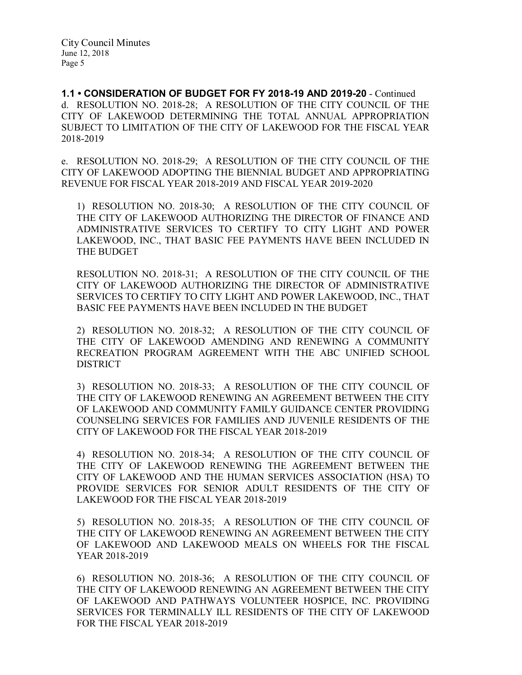1.1 • CONSIDERATION OF BUDGET FOR FY 2018-19 AND 2019-20 - Continued d. RESOLUTION NO. 2018-28; A RESOLUTION OF THE CITY COUNCIL OF THE CITY OF LAKEWOOD DETERMINING THE TOTAL ANNUAL APPROPRIATION SUBJECT TO LIMITATION OF THE CITY OF LAKEWOOD FOR THE FISCAL YEAR 2018-2019

e. RESOLUTION NO. 2018-29; A RESOLUTION OF THE CITY COUNCIL OF THE CITY OF LAKEWOOD ADOPTING THE BIENNIAL BUDGET AND APPROPRIATING REVENUE FOR FISCAL YEAR 2018-2019 AND FISCAL YEAR 2019-2020

1) RESOLUTION NO. 2018-30; A RESOLUTION OF THE CITY COUNCIL OF THE CITY OF LAKEWOOD AUTHORIZING THE DIRECTOR OF FINANCE AND ADMINISTRATIVE SERVICES TO CERTIFY TO CITY LIGHT AND POWER LAKEWOOD, INC., THAT BASIC FEE PAYMENTS HAVE BEEN INCLUDED IN THE BUDGET

RESOLUTION NO. 2018-31; A RESOLUTION OF THE CITY COUNCIL OF THE CITY OF LAKEWOOD AUTHORIZING THE DIRECTOR OF ADMINISTRATIVE SERVICES TO CERTIFY TO CITY LIGHT AND POWER LAKEWOOD, INC., THAT BASIC FEE PAYMENTS HAVE BEEN INCLUDED IN THE BUDGET

2) RESOLUTION NO. 2018-32; A RESOLUTION OF THE CITY COUNCIL OF THE CITY OF LAKEWOOD AMENDING AND RENEWING A COMMUNITY RECREATION PROGRAM AGREEMENT WITH THE ABC UNIFIED SCHOOL DISTRICT

3) RESOLUTION NO. 2018-33; A RESOLUTION OF THE CITY COUNCIL OF THE CITY OF LAKEWOOD RENEWING AN AGREEMENT BETWEEN THE CITY OF LAKEWOOD AND COMMUNITY FAMILY GUIDANCE CENTER PROVIDING COUNSELING SERVICES FOR FAMILIES AND JUVENILE RESIDENTS OF THE CITY OF LAKEWOOD FOR THE FISCAL YEAR 2018-2019

4) RESOLUTION NO. 2018-34; A RESOLUTION OF THE CITY COUNCIL OF THE CITY OF LAKEWOOD RENEWING THE AGREEMENT BETWEEN THE CITY OF LAKEWOOD AND THE HUMAN SERVICES ASSOCIATION (HSA) TO PROVIDE SERVICES FOR SENIOR ADULT RESIDENTS OF THE CITY OF LAKEWOOD FOR THE FISCAL YEAR 2018-2019

5) RESOLUTION NO. 2018-35; A RESOLUTION OF THE CITY COUNCIL OF THE CITY OF LAKEWOOD RENEWING AN AGREEMENT BETWEEN THE CITY OF LAKEWOOD AND LAKEWOOD MEALS ON WHEELS FOR THE FISCAL YEAR 2018-2019

6) RESOLUTION NO. 2018-36; A RESOLUTION OF THE CITY COUNCIL OF THE CITY OF LAKEWOOD RENEWING AN AGREEMENT BETWEEN THE CITY OF LAKEWOOD AND PATHWAYS VOLUNTEER HOSPICE, INC. PROVIDING SERVICES FOR TERMINALLY ILL RESIDENTS OF THE CITY OF LAKEWOOD FOR THE FISCAL YEAR 2018-2019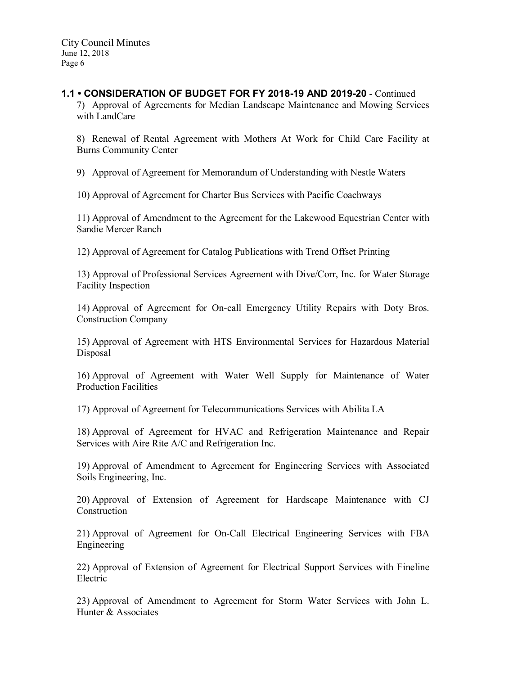# 1.1 • CONSIDERATION OF BUDGET FOR FY 2018-19 AND 2019-20 - Continued

7) Approval of Agreements for Median Landscape Maintenance and Mowing Services with LandCare

8) Renewal of Rental Agreement with Mothers At Work for Child Care Facility at Burns Community Center

9) Approval of Agreement for Memorandum of Understanding with Nestle Waters

10) Approval of Agreement for Charter Bus Services with Pacific Coachways

11) Approval of Amendment to the Agreement for the Lakewood Equestrian Center with Sandie Mercer Ranch

12) Approval of Agreement for Catalog Publications with Trend Offset Printing

13) Approval of Professional Services Agreement with Dive/Corr, Inc. for Water Storage Facility Inspection

14) Approval of Agreement for On-call Emergency Utility Repairs with Doty Bros. Construction Company

15) Approval of Agreement with HTS Environmental Services for Hazardous Material Disposal

16) Approval of Agreement with Water Well Supply for Maintenance of Water Production Facilities

17) Approval of Agreement for Telecommunications Services with Abilita LA

18) Approval of Agreement for HVAC and Refrigeration Maintenance and Repair Services with Aire Rite A/C and Refrigeration Inc.

19) Approval of Amendment to Agreement for Engineering Services with Associated Soils Engineering, Inc.

20) Approval of Extension of Agreement for Hardscape Maintenance with CJ Construction

21) Approval of Agreement for On-Call Electrical Engineering Services with FBA Engineering

22) Approval of Extension of Agreement for Electrical Support Services with Fineline Electric

23) Approval of Amendment to Agreement for Storm Water Services with John L. Hunter & Associates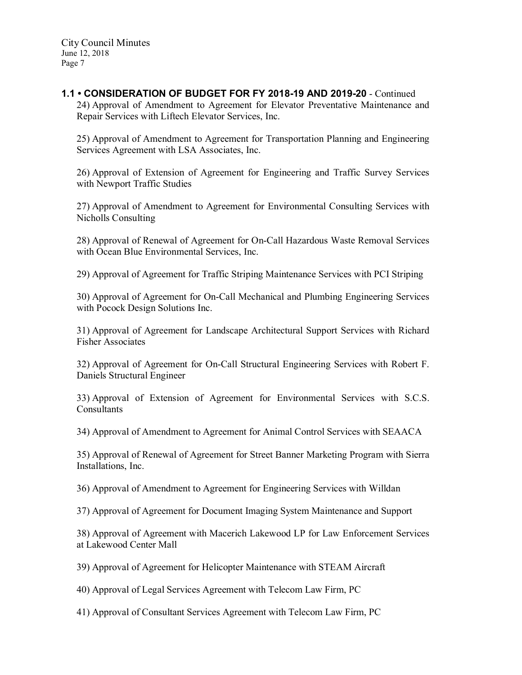# 1.1 • CONSIDERATION OF BUDGET FOR FY 2018-19 AND 2019-20 - Continued

24) Approval of Amendment to Agreement for Elevator Preventative Maintenance and Repair Services with Liftech Elevator Services, Inc.

25) Approval of Amendment to Agreement for Transportation Planning and Engineering Services Agreement with LSA Associates, Inc.

26) Approval of Extension of Agreement for Engineering and Traffic Survey Services with Newport Traffic Studies

27) Approval of Amendment to Agreement for Environmental Consulting Services with Nicholls Consulting

28) Approval of Renewal of Agreement for On-Call Hazardous Waste Removal Services with Ocean Blue Environmental Services, Inc.

29) Approval of Agreement for Traffic Striping Maintenance Services with PCI Striping

30) Approval of Agreement for On-Call Mechanical and Plumbing Engineering Services with Pocock Design Solutions Inc.

31) Approval of Agreement for Landscape Architectural Support Services with Richard Fisher Associates

32) Approval of Agreement for On-Call Structural Engineering Services with Robert F. Daniels Structural Engineer

33) Approval of Extension of Agreement for Environmental Services with S.C.S. **Consultants** 

34) Approval of Amendment to Agreement for Animal Control Services with SEAACA

35) Approval of Renewal of Agreement for Street Banner Marketing Program with Sierra Installations, Inc.

36) Approval of Amendment to Agreement for Engineering Services with Willdan

37) Approval of Agreement for Document Imaging System Maintenance and Support

38) Approval of Agreement with Macerich Lakewood LP for Law Enforcement Services at Lakewood Center Mall

39) Approval of Agreement for Helicopter Maintenance with STEAM Aircraft

40) Approval of Legal Services Agreement with Telecom Law Firm, PC

41) Approval of Consultant Services Agreement with Telecom Law Firm, PC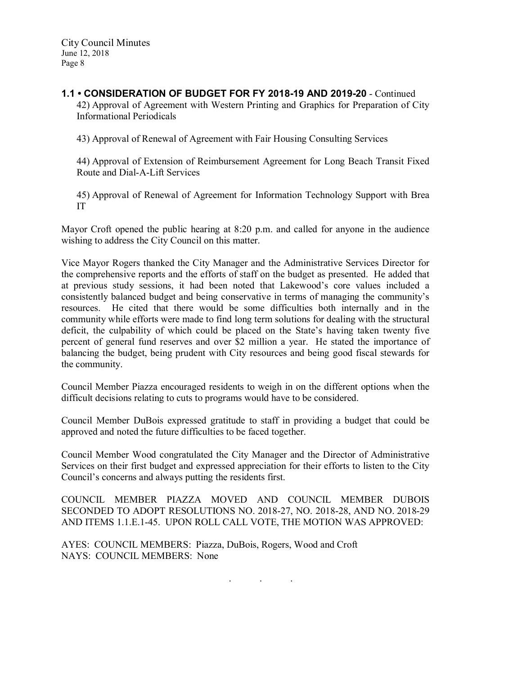## 1.1 • CONSIDERATION OF BUDGET FOR FY 2018-19 AND 2019-20 - Continued 42) Approval of Agreement with Western Printing and Graphics for Preparation of City Informational Periodicals

43) Approval of Renewal of Agreement with Fair Housing Consulting Services

44) Approval of Extension of Reimbursement Agreement for Long Beach Transit Fixed Route and Dial-A-Lift Services

45) Approval of Renewal of Agreement for Information Technology Support with Brea IT

Mayor Croft opened the public hearing at 8:20 p.m. and called for anyone in the audience wishing to address the City Council on this matter.

Vice Mayor Rogers thanked the City Manager and the Administrative Services Director for the comprehensive reports and the efforts of staff on the budget as presented. He added that at previous study sessions, it had been noted that Lakewood's core values included a consistently balanced budget and being conservative in terms of managing the community's resources. He cited that there would be some difficulties both internally and in the community while efforts were made to find long term solutions for dealing with the structural deficit, the culpability of which could be placed on the State's having taken twenty five percent of general fund reserves and over \$2 million a year. He stated the importance of balancing the budget, being prudent with City resources and being good fiscal stewards for the community.

Council Member Piazza encouraged residents to weigh in on the different options when the difficult decisions relating to cuts to programs would have to be considered.

Council Member DuBois expressed gratitude to staff in providing a budget that could be approved and noted the future difficulties to be faced together.

Council Member Wood congratulated the City Manager and the Director of Administrative Services on their first budget and expressed appreciation for their efforts to listen to the City Council's concerns and always putting the residents first.

COUNCIL MEMBER PIAZZA MOVED AND COUNCIL MEMBER DUBOIS SECONDED TO ADOPT RESOLUTIONS NO. 2018-27, NO. 2018-28, AND NO. 2018-29 AND ITEMS 1.1.E.1-45. UPON ROLL CALL VOTE, THE MOTION WAS APPROVED:

AYES: COUNCIL MEMBERS: Piazza, DuBois, Rogers, Wood and Croft NAYS: COUNCIL MEMBERS: None

. . .